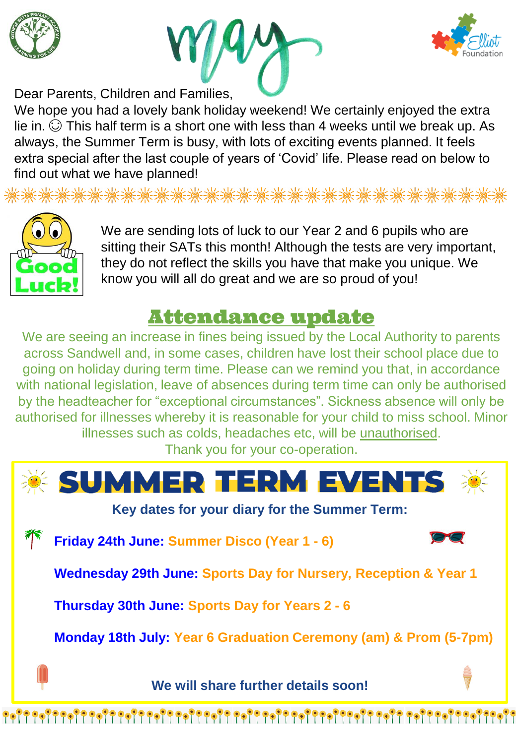





Dear Parents, Children and Families,

We hope you had a lovely bank holiday weekend! We certainly enjoyed the extra lie in.  $\odot$  This half term is a short one with less than 4 weeks until we break up. As always, the Summer Term is busy, with lots of exciting events planned. It feels extra special after the last couple of years of 'Covid' life. Please read on below to find out what we have planned!

**灙漅漅漅潫潫漅潫潫潫潫潫潫潫潫潫潫潫潫潫潫澿獑** 



We are sending lots of luck to our Year 2 and 6 pupils who are sitting their SATs this month! Although the tests are very important, they do not reflect the skills you have that make you unique. We know you will all do great and we are so proud of you!

## Attendance update

We are seeing an increase in fines being issued by the Local Authority to parents across Sandwell and, in some cases, children have lost their school place due to going on holiday during term time. Please can we remind you that, in accordance with national legislation, leave of absences during term time can only be authorised by the headteacher for "exceptional circumstances". Sickness absence will only be authorised for illnesses whereby it is reasonable for your child to miss school. Minor illnesses such as colds, headaches etc, will be unauthorised.

Thank you for your co-operation.